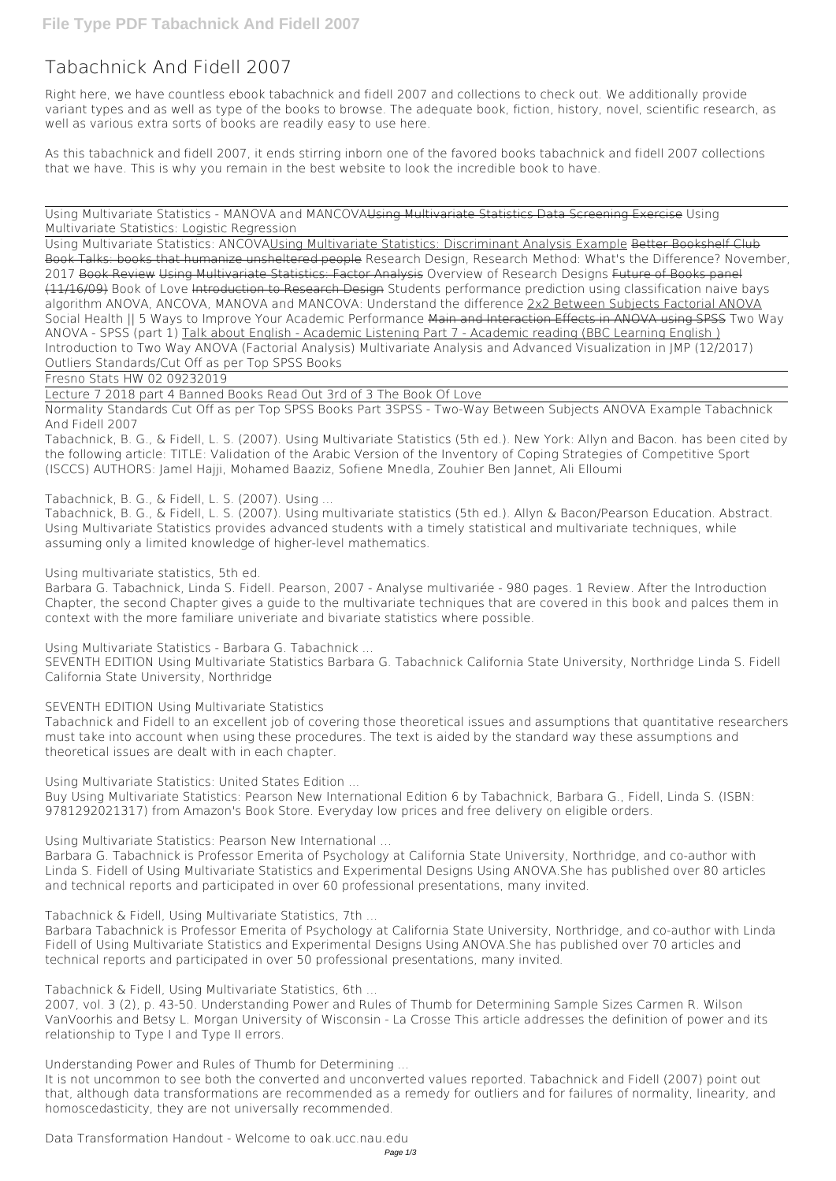# **Tabachnick And Fidell 2007**

Right here, we have countless ebook **tabachnick and fidell 2007** and collections to check out. We additionally provide variant types and as well as type of the books to browse. The adequate book, fiction, history, novel, scientific research, as well as various extra sorts of books are readily easy to use here.

As this tabachnick and fidell 2007, it ends stirring inborn one of the favored books tabachnick and fidell 2007 collections that we have. This is why you remain in the best website to look the incredible book to have.

Using Multivariate Statistics - MANOVA and MANCOVAUsing Multivariate Statistics Data Screening Exercise Using Multivariate Statistics: Logistic Regression

Using Multivariate Statistics: ANCOVAUsing Multivariate Statistics: Discriminant Analysis Example Better Bookshelf Club Book Talks: books that humanize unsheltered people **Research Design, Research Method: What's the Difference? November, 2017** Book Review Using Multivariate Statistics: Factor Analysis *Overview of Research Designs* Future of Books panel (11/16/09) Book of Love Introduction to Research Design **Students performance prediction using classification naive bays algorithm** ANOVA, ANCOVA, MANOVA and MANCOVA: Understand the difference 2x2 Between Subjects Factorial ANOVA Social Health || 5 Ways to Improve Your Academic Performance Main and Interaction Effects in ANOVA using SPSS *Two Way ANOVA - SPSS (part 1)* Talk about English - Academic Listening Part 7 - Academic reading (BBC Learning English ) Introduction to Two Way ANOVA (Factorial Analysis) *Multivariate Analysis and Advanced Visualization in JMP (12/2017) Outliers Standards/Cut Off as per Top SPSS Books*

Fresno Stats HW 02 09232019

Lecture 7 2018 part 4 Banned Books Read Out 3rd of 3 *The Book Of Love*

Normality Standards Cut Off as per Top SPSS Books Part 3**SPSS - Two-Way Between Subjects ANOVA Example** Tabachnick And Fidell 2007

Tabachnick, B. G., & Fidell, L. S. (2007). Using Multivariate Statistics (5th ed.). New York: Allyn and Bacon. has been cited by the following article: TITLE: Validation of the Arabic Version of the Inventory of Coping Strategies of Competitive Sport (ISCCS) AUTHORS: Jamel Hajji, Mohamed Baaziz, Sofiene Mnedla, Zouhier Ben Jannet, Ali Elloumi

## Tabachnick, B. G., & Fidell, L. S. (2007). Using ...

Tabachnick, B. G., & Fidell, L. S. (2007). Using multivariate statistics (5th ed.). Allyn & Bacon/Pearson Education. Abstract. Using Multivariate Statistics provides advanced students with a timely statistical and multivariate techniques, while assuming only a limited knowledge of higher-level mathematics.

#### Using multivariate statistics, 5th ed.

Barbara G. Tabachnick, Linda S. Fidell. Pearson, 2007 - Analyse multivariée - 980 pages. 1 Review. After the Introduction Chapter, the second Chapter gives a guide to the multivariate techniques that are covered in this book and palces them in context with the more familiare univeriate and bivariate statistics where possible.

Using Multivariate Statistics - Barbara G. Tabachnick ...

SEVENTH EDITION Using Multivariate Statistics Barbara G. Tabachnick California State University, Northridge Linda S. Fidell California State University, Northridge

## SEVENTH EDITION Using Multivariate Statistics

Tabachnick and Fidell to an excellent job of covering those theoretical issues and assumptions that quantitative researchers must take into account when using these procedures. The text is aided by the standard way these assumptions and theoretical issues are dealt with in each chapter.

Using Multivariate Statistics: United States Edition ...

Buy Using Multivariate Statistics: Pearson New International Edition 6 by Tabachnick, Barbara G., Fidell, Linda S. (ISBN: 9781292021317) from Amazon's Book Store. Everyday low prices and free delivery on eligible orders.

Using Multivariate Statistics: Pearson New International ...

Barbara G. Tabachnick is Professor Emerita of Psychology at California State University, Northridge, and co-author with Linda S. Fidell of Using Multivariate Statistics and Experimental Designs Using ANOVA.She has published over 80 articles and technical reports and participated in over 60 professional presentations, many invited.

Tabachnick & Fidell, Using Multivariate Statistics, 7th ...

Barbara Tabachnick is Professor Emerita of Psychology at California State University, Northridge, and co-author with Linda Fidell of Using Multivariate Statistics and Experimental Designs Using ANOVA.She has published over 70 articles and technical reports and participated in over 50 professional presentations, many invited.

Tabachnick & Fidell, Using Multivariate Statistics, 6th ...

2007, vol. 3 (2), p. 43‐50. Understanding Power and Rules of Thumb for Determining Sample Sizes Carmen R. Wilson VanVoorhis and Betsy L. Morgan University of Wisconsin ‐ La Crosse This article addresses the definition of power and its relationship to Type I and Type II errors.

Understanding Power and Rules of Thumb for Determining ...

It is not uncommon to see both the converted and unconverted values reported. Tabachnick and Fidell (2007) point out that, although data transformations are recommended as a remedy for outliers and for failures of normality, linearity, and homoscedasticity, they are not universally recommended.

Data Transformation Handout - Welcome to oak.ucc.nau.edu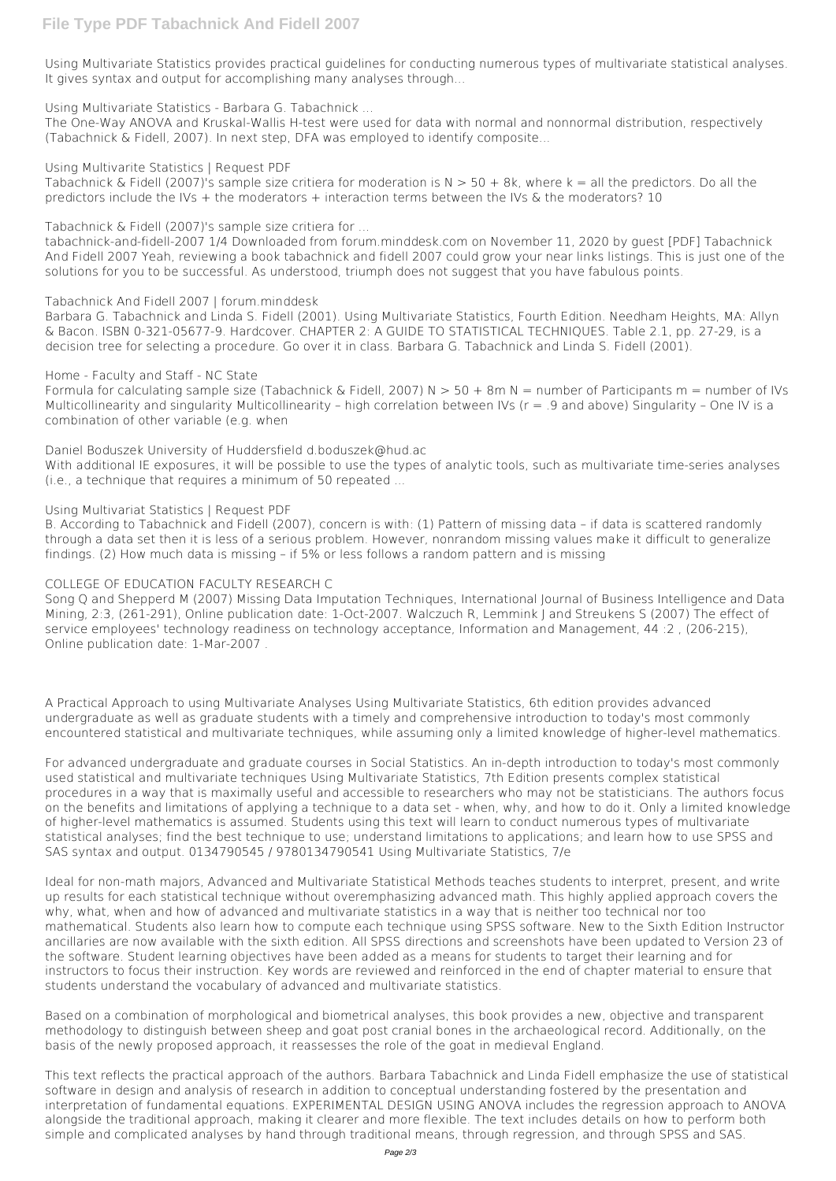Using Multivariate Statistics provides practical guidelines for conducting numerous types of multivariate statistical analyses. It gives syntax and output for accomplishing many analyses through...

Using Multivariate Statistics - Barbara G. Tabachnick ...

Tabachnick & Fidell (2007)'s sample size critiera for moderation is  $N > 50 + 8k$ , where k = all the predictors. Do all the predictors include the IVs + the moderators + interaction terms between the IVs & the moderators? 10

Tabachnick & Fidell (2007)'s sample size critiera for ...

The One-Way ANOVA and Kruskal-Wallis H-test were used for data with normal and nonnormal distribution, respectively (Tabachnick & Fidell, 2007). In next step, DFA was employed to identify composite...

Using Multivarite Statistics | Request PDF

Formula for calculating sample size (Tabachnick & Fidell, 2007) N  $>$  50 + 8m N = number of Participants m = number of IVs Multicollinearity and singularity Multicollinearity – high correlation between IVs ( $r = .9$  and above) Singularity – One IV is a combination of other variable (e.g. when

tabachnick-and-fidell-2007 1/4 Downloaded from forum.minddesk.com on November 11, 2020 by guest [PDF] Tabachnick And Fidell 2007 Yeah, reviewing a book tabachnick and fidell 2007 could grow your near links listings. This is just one of the solutions for you to be successful. As understood, triumph does not suggest that you have fabulous points.

### Tabachnick And Fidell 2007 | forum.minddesk

Barbara G. Tabachnick and Linda S. Fidell (2001). Using Multivariate Statistics, Fourth Edition. Needham Heights, MA: Allyn & Bacon. ISBN 0-321-05677-9. Hardcover. CHAPTER 2: A GUIDE TO STATISTICAL TECHNIQUES. Table 2.1, pp. 27-29, is a decision tree for selecting a procedure. Go over it in class. Barbara G. Tabachnick and Linda S. Fidell (2001).

### Home - Faculty and Staff - NC State

Daniel Boduszek University of Huddersfield d.boduszek@hud.ac

With additional IE exposures, it will be possible to use the types of analytic tools, such as multivariate time-series analyses (i.e., a technique that requires a minimum of 50 repeated ...

## Using Multivariat Statistics | Request PDF

B. According to Tabachnick and Fidell (2007), concern is with: (1) Pattern of missing data – if data is scattered randomly through a data set then it is less of a serious problem. However, nonrandom missing values make it difficult to generalize findings. (2) How much data is missing – if 5% or less follows a random pattern and is missing

## COLLEGE OF EDUCATION FACULTY RESEARCH C

Song Q and Shepperd M (2007) Missing Data Imputation Techniques, International Journal of Business Intelligence and Data Mining, 2:3, (261-291), Online publication date: 1-Oct-2007. Walczuch R, Lemmink J and Streukens S (2007) The effect of service employees' technology readiness on technology acceptance, Information and Management, 44 :2 , (206-215), Online publication date: 1-Mar-2007 .

A Practical Approach to using Multivariate Analyses Using Multivariate Statistics, 6th edition provides advanced undergraduate as well as graduate students with a timely and comprehensive introduction to today's most commonly encountered statistical and multivariate techniques, while assuming only a limited knowledge of higher-level mathematics.

For advanced undergraduate and graduate courses in Social Statistics. An in-depth introduction to today's most commonly used statistical and multivariate techniques Using Multivariate Statistics, 7th Edition presents complex statistical procedures in a way that is maximally useful and accessible to researchers who may not be statisticians. The authors focus on the benefits and limitations of applying a technique to a data set - when, why, and how to do it. Only a limited knowledge of higher-level mathematics is assumed. Students using this text will learn to conduct numerous types of multivariate statistical analyses; find the best technique to use; understand limitations to applications; and learn how to use SPSS and SAS syntax and output. 0134790545 / 9780134790541 Using Multivariate Statistics, 7/e

Ideal for non-math majors, Advanced and Multivariate Statistical Methods teaches students to interpret, present, and write

up results for each statistical technique without overemphasizing advanced math. This highly applied approach covers the why, what, when and how of advanced and multivariate statistics in a way that is neither too technical nor too mathematical. Students also learn how to compute each technique using SPSS software. New to the Sixth Edition Instructor ancillaries are now available with the sixth edition. All SPSS directions and screenshots have been updated to Version 23 of the software. Student learning objectives have been added as a means for students to target their learning and for instructors to focus their instruction. Key words are reviewed and reinforced in the end of chapter material to ensure that students understand the vocabulary of advanced and multivariate statistics.

Based on a combination of morphological and biometrical analyses, this book provides a new, objective and transparent methodology to distinguish between sheep and goat post cranial bones in the archaeological record. Additionally, on the basis of the newly proposed approach, it reassesses the role of the goat in medieval England.

This text reflects the practical approach of the authors. Barbara Tabachnick and Linda Fidell emphasize the use of statistical software in design and analysis of research in addition to conceptual understanding fostered by the presentation and interpretation of fundamental equations. EXPERIMENTAL DESIGN USING ANOVA includes the regression approach to ANOVA alongside the traditional approach, making it clearer and more flexible. The text includes details on how to perform both simple and complicated analyses by hand through traditional means, through regression, and through SPSS and SAS.